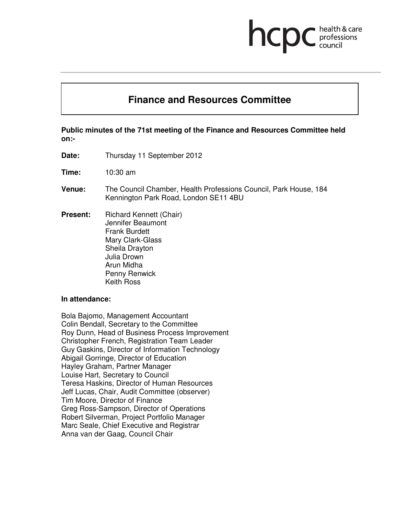hcp

health & care professions<br>council

**Public minutes of the 71st meeting of the Finance and Resources Committee held on:-** 

**Finance and Resources Committee** 

**Date:** Thursday 11 September 2012

**Time:** 10:30 am

- **Venue:** The Council Chamber, Health Professions Council, Park House, 184 Kennington Park Road, London SE11 4BU
- **Present:** Richard Kennett (Chair) Jennifer Beaumont Frank Burdett Mary Clark-Glass Sheila Drayton Julia Drown Arun Midha Penny Renwick Keith Ross

#### **In attendance:**

Bola Bajomo, Management Accountant Colin Bendall, Secretary to the Committee Roy Dunn, Head of Business Process Improvement Christopher French, Registration Team Leader Guy Gaskins, Director of Information Technology Abigail Gorringe, Director of Education Hayley Graham, Partner Manager Louise Hart, Secretary to Council Teresa Haskins, Director of Human Resources Jeff Lucas, Chair, Audit Committee (observer) Tim Moore, Director of Finance Greg Ross-Sampson, Director of Operations Robert Silverman, Project Portfolio Manager Marc Seale, Chief Executive and Registrar Anna van der Gaag, Council Chair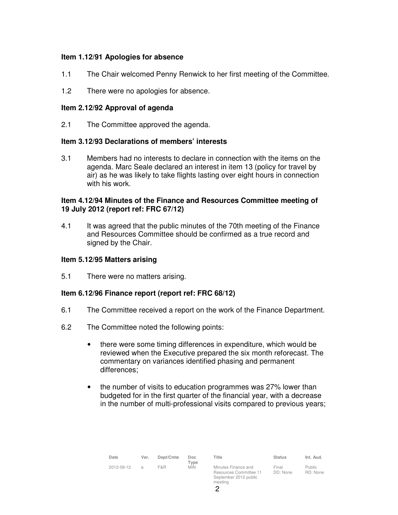### **Item 1.12/91 Apologies for absence**

- 1.1 The Chair welcomed Penny Renwick to her first meeting of the Committee.
- 1.2 There were no apologies for absence.

#### **Item 2.12/92 Approval of agenda**

2.1 The Committee approved the agenda.

#### **Item 3.12/93 Declarations of members' interests**

3.1 Members had no interests to declare in connection with the items on the agenda. Marc Seale declared an interest in item 13 (policy for travel by air) as he was likely to take flights lasting over eight hours in connection with his work.

### **Item 4.12/94 Minutes of the Finance and Resources Committee meeting of 19 July 2012 (report ref: FRC 67/12)**

4.1 It was agreed that the public minutes of the 70th meeting of the Finance and Resources Committee should be confirmed as a true record and signed by the Chair.

#### **Item 5.12/95 Matters arising**

5.1 There were no matters arising.

# **Item 6.12/96 Finance report (report ref: FRC 68/12)**

- 6.1 The Committee received a report on the work of the Finance Department.
- 6.2 The Committee noted the following points:
	- there were some timing differences in expenditure, which would be reviewed when the Executive prepared the six month reforecast. The commentary on variances identified phasing and permanent differences;
	- the number of visits to education programmes was 27% lower than budgeted for in the first quarter of the financial year, with a decrease in the number of multi-professional visits compared to previous years;

| Date       | Ver.           | Dept/Cmte | Doc<br>$T$ vpe | Title                                                                             | <b>Status</b>     | Int. Aud.                 |
|------------|----------------|-----------|----------------|-----------------------------------------------------------------------------------|-------------------|---------------------------|
| 2012-09-12 | $\overline{a}$ | F&R       | <b>MIN</b>     | Minutes Finance and<br>Resources Committee 11<br>September 2012 public<br>meeting | Final<br>DD: None | <b>Public</b><br>RD: None |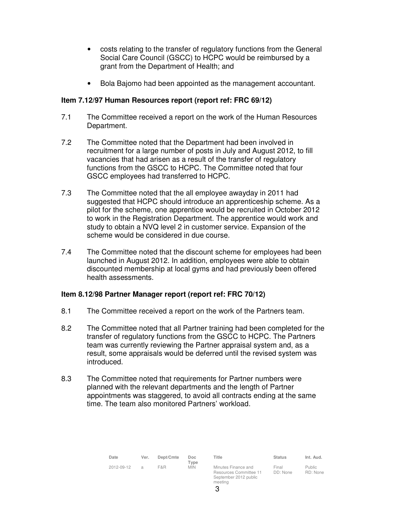- costs relating to the transfer of regulatory functions from the General Social Care Council (GSCC) to HCPC would be reimbursed by a grant from the Department of Health; and
- Bola Bajomo had been appointed as the management accountant.

# **Item 7.12/97 Human Resources report (report ref: FRC 69/12)**

- 7.1 The Committee received a report on the work of the Human Resources Department.
- 7.2 The Committee noted that the Department had been involved in recruitment for a large number of posts in July and August 2012, to fill vacancies that had arisen as a result of the transfer of regulatory functions from the GSCC to HCPC. The Committee noted that four GSCC employees had transferred to HCPC.
- 7.3 The Committee noted that the all employee awayday in 2011 had suggested that HCPC should introduce an apprenticeship scheme. As a pilot for the scheme, one apprentice would be recruited in October 2012 to work in the Registration Department. The apprentice would work and study to obtain a NVQ level 2 in customer service. Expansion of the scheme would be considered in due course.
- 7.4 The Committee noted that the discount scheme for employees had been launched in August 2012. In addition, employees were able to obtain discounted membership at local gyms and had previously been offered health assessments.

# **Item 8.12/98 Partner Manager report (report ref: FRC 70/12)**

- 8.1 The Committee received a report on the work of the Partners team.
- 8.2 The Committee noted that all Partner training had been completed for the transfer of regulatory functions from the GSCC to HCPC. The Partners team was currently reviewing the Partner appraisal system and, as a result, some appraisals would be deferred until the revised system was introduced.
- 8.3 The Committee noted that requirements for Partner numbers were planned with the relevant departments and the length of Partner appointments was staggered, to avoid all contracts ending at the same time. The team also monitored Partners' workload.

| Date       | Ver.           | Dept/Cmte | Doc.<br>Type | Title                                                                  | <b>Status</b>     | Int. Aud.                 |
|------------|----------------|-----------|--------------|------------------------------------------------------------------------|-------------------|---------------------------|
| 2012-09-12 | $\overline{a}$ | F&R       | <b>MIN</b>   | Minutes Finance and<br>Resources Committee 11<br>September 2012 public | Final<br>DD: None | <b>Public</b><br>RD: None |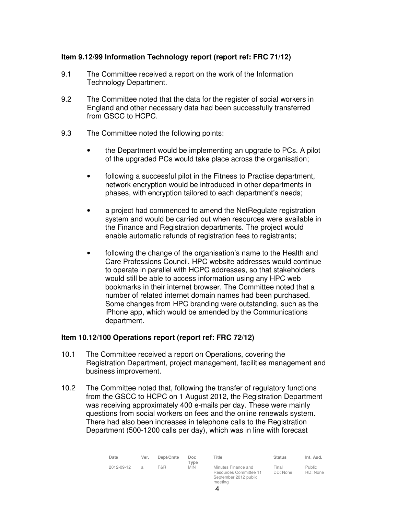# **Item 9.12/99 Information Technology report (report ref: FRC 71/12)**

- 9.1 The Committee received a report on the work of the Information Technology Department.
- 9.2 The Committee noted that the data for the register of social workers in England and other necessary data had been successfully transferred from GSCC to HCPC.
- 9.3 The Committee noted the following points:
	- the Department would be implementing an upgrade to PCs. A pilot of the upgraded PCs would take place across the organisation;
	- following a successful pilot in the Fitness to Practise department, network encryption would be introduced in other departments in phases, with encryption tailored to each department's needs;
	- a project had commenced to amend the NetRegulate registration system and would be carried out when resources were available in the Finance and Registration departments. The project would enable automatic refunds of registration fees to registrants;
	- following the change of the organisation's name to the Health and Care Professions Council, HPC website addresses would continue to operate in parallel with HCPC addresses, so that stakeholders would still be able to access information using any HPC web bookmarks in their internet browser. The Committee noted that a number of related internet domain names had been purchased. Some changes from HPC branding were outstanding, such as the iPhone app, which would be amended by the Communications department.

# **Item 10.12/100 Operations report (report ref: FRC 72/12)**

- 10.1 The Committee received a report on Operations, covering the Registration Department, project management, facilities management and business improvement.
- 10.2 The Committee noted that, following the transfer of regulatory functions from the GSCC to HCPC on 1 August 2012, the Registration Department was receiving approximately 400 e-mails per day. These were mainly questions from social workers on fees and the online renewals system. There had also been increases in telephone calls to the Registration Department (500-1200 calls per day), which was in line with forecast

| Date       | Ver. | Dept/Cmte | Doc<br>Type | Title                                                                             | <b>Status</b>     | Int. Aud.                 |
|------------|------|-----------|-------------|-----------------------------------------------------------------------------------|-------------------|---------------------------|
| 2012-09-12 | a    | F&R       | <b>MIN</b>  | Minutes Finance and<br>Resources Committee 11<br>September 2012 public<br>meeting | Final<br>DD: None | <b>Public</b><br>RD: None |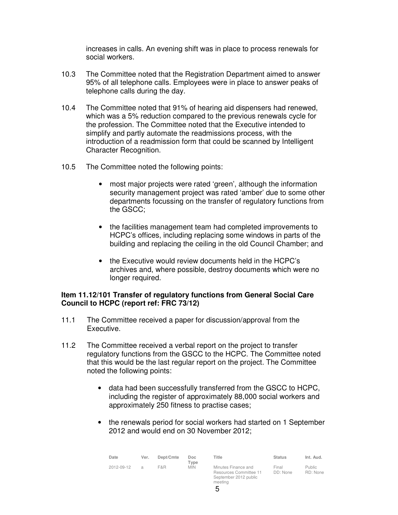increases in calls. An evening shift was in place to process renewals for social workers.

- 10.3 The Committee noted that the Registration Department aimed to answer 95% of all telephone calls. Employees were in place to answer peaks of telephone calls during the day.
- 10.4 The Committee noted that 91% of hearing aid dispensers had renewed, which was a 5% reduction compared to the previous renewals cycle for the profession. The Committee noted that the Executive intended to simplify and partly automate the readmissions process, with the introduction of a readmission form that could be scanned by Intelligent Character Recognition.
- 10.5 The Committee noted the following points:
	- most major projects were rated 'green', although the information security management project was rated 'amber' due to some other departments focussing on the transfer of regulatory functions from the GSCC;
	- the facilities management team had completed improvements to HCPC's offices, including replacing some windows in parts of the building and replacing the ceiling in the old Council Chamber; and
	- the Executive would review documents held in the HCPC's archives and, where possible, destroy documents which were no longer required.

# **Item 11.12/101 Transfer of regulatory functions from General Social Care Council to HCPC (report ref: FRC 73/12)**

- 11.1 The Committee received a paper for discussion/approval from the Executive.
- 11.2 The Committee received a verbal report on the project to transfer regulatory functions from the GSCC to the HCPC. The Committee noted that this would be the last regular report on the project. The Committee noted the following points:
	- data had been successfully transferred from the GSCC to HCPC, including the register of approximately 88,000 social workers and approximately 250 fitness to practise cases;
	- the renewals period for social workers had started on 1 September 2012 and would end on 30 November 2012;

| Date       | Ver.          | Dept/Cmte | Doc<br>Type | Title                                                                             | <b>Status</b>     | Int. Aud.          |
|------------|---------------|-----------|-------------|-----------------------------------------------------------------------------------|-------------------|--------------------|
| 2012-09-12 | $\mathcal{A}$ | F&R       | <b>MIN</b>  | Minutes Finance and<br>Resources Committee 11<br>September 2012 public<br>meeting | Final<br>DD: None | Public<br>RD: None |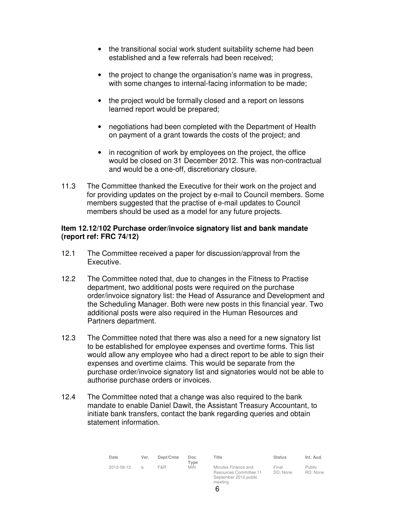- the transitional social work student suitability scheme had been established and a few referrals had been received;
- the project to change the organisation's name was in progress, with some changes to internal-facing information to be made;
- the project would be formally closed and a report on lessons learned report would be prepared;
- negotiations had been completed with the Department of Health on payment of a grant towards the costs of the project; and
- in recognition of work by employees on the project, the office would be closed on 31 December 2012. This was non-contractual and would be a one-off, discretionary closure.
- 11.3 The Committee thanked the Executive for their work on the project and for providing updates on the project by e-mail to Council members. Some members suggested that the practise of e-mail updates to Council members should be used as a model for any future projects.

#### **Item 12.12/102 Purchase order/invoice signatory list and bank mandate (report ref: FRC 74/12)**

- 12.1 The Committee received a paper for discussion/approval from the Executive.
- 12.2 The Committee noted that, due to changes in the Fitness to Practise department, two additional posts were required on the purchase order/invoice signatory list: the Head of Assurance and Development and the Scheduling Manager. Both were new posts in this financial year. Two additional posts were also required in the Human Resources and Partners department.
- 12.3 The Committee noted that there was also a need for a new signatory list to be established for employee expenses and overtime forms. This list would allow any employee who had a direct report to be able to sign their expenses and overtime claims. This would be separate from the purchase order/invoice signatory list and signatories would not be able to authorise purchase orders or invoices.
- 12.4 The Committee noted that a change was also required to the bank mandate to enable Daniel Dawit, the Assistant Treasury Accountant, to initiate bank transfers, contact the bank regarding queries and obtain statement information.

| Date       | Ver.           | Dept/Cmte | Doc<br>Type | Title                                                                             | <b>Status</b>     | Int. Aud.                 |
|------------|----------------|-----------|-------------|-----------------------------------------------------------------------------------|-------------------|---------------------------|
| 2012-09-12 | $\overline{a}$ | F&R       | <b>MIN</b>  | Minutes Finance and<br>Resources Committee 11<br>September 2012 public<br>meeting | Final<br>DD: None | <b>Public</b><br>RD: None |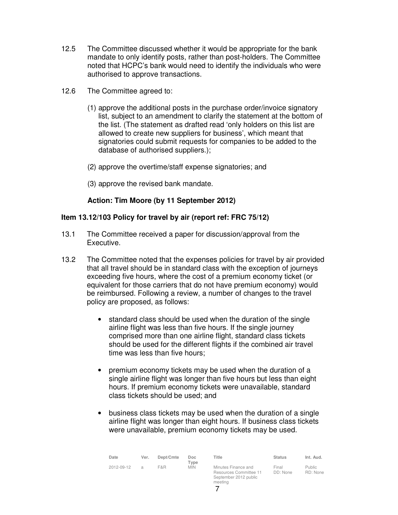- 12.5 The Committee discussed whether it would be appropriate for the bank mandate to only identify posts, rather than post-holders. The Committee noted that HCPC's bank would need to identify the individuals who were authorised to approve transactions.
- 12.6 The Committee agreed to:
	- (1) approve the additional posts in the purchase order/invoice signatory list, subject to an amendment to clarify the statement at the bottom of the list. (The statement as drafted read 'only holders on this list are allowed to create new suppliers for business', which meant that signatories could submit requests for companies to be added to the database of authorised suppliers.);
	- (2) approve the overtime/staff expense signatories; and
	- (3) approve the revised bank mandate.

# **Action: Tim Moore (by 11 September 2012)**

# **Item 13.12/103 Policy for travel by air (report ref: FRC 75/12)**

- 13.1 The Committee received a paper for discussion/approval from the Executive.
- 13.2 The Committee noted that the expenses policies for travel by air provided that all travel should be in standard class with the exception of journeys exceeding five hours, where the cost of a premium economy ticket (or equivalent for those carriers that do not have premium economy) would be reimbursed. Following a review, a number of changes to the travel policy are proposed, as follows:
	- standard class should be used when the duration of the single airline flight was less than five hours. If the single journey comprised more than one airline flight, standard class tickets should be used for the different flights if the combined air travel time was less than five hours;
	- premium economy tickets may be used when the duration of a single airline flight was longer than five hours but less than eight hours. If premium economy tickets were unavailable, standard class tickets should be used; and
	- business class tickets may be used when the duration of a single airline flight was longer than eight hours. If business class tickets were unavailable, premium economy tickets may be used.

| Date       | Ver. | Dept/Cmte | Doc<br>Type | Title                                                                             | <b>Status</b>     | Int. Aud.          |
|------------|------|-----------|-------------|-----------------------------------------------------------------------------------|-------------------|--------------------|
| 2012-09-12 | a    | F&R       | <b>MIN</b>  | Minutes Finance and<br>Resources Committee 11<br>September 2012 public<br>meeting | Final<br>DD: None | Public<br>RD: None |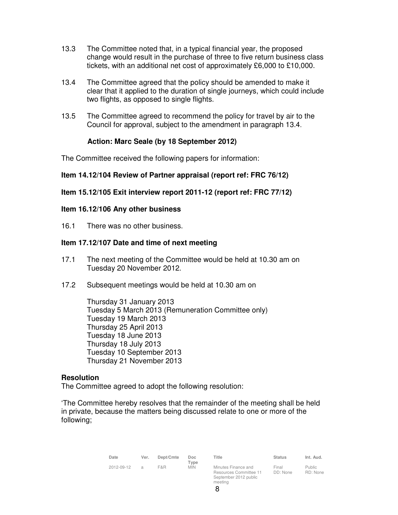- 13.3 The Committee noted that, in a typical financial year, the proposed change would result in the purchase of three to five return business class tickets, with an additional net cost of approximately £6,000 to £10,000.
- 13.4 The Committee agreed that the policy should be amended to make it clear that it applied to the duration of single journeys, which could include two flights, as opposed to single flights.
- 13.5 The Committee agreed to recommend the policy for travel by air to the Council for approval, subject to the amendment in paragraph 13.4.

#### **Action: Marc Seale (by 18 September 2012)**

The Committee received the following papers for information:

#### **Item 14.12/104 Review of Partner appraisal (report ref: FRC 76/12)**

#### **Item 15.12/105 Exit interview report 2011-12 (report ref: FRC 77/12)**

#### **Item 16.12/106 Any other business**

16.1 There was no other business.

#### **Item 17.12/107 Date and time of next meeting**

- 17.1 The next meeting of the Committee would be held at 10.30 am on Tuesday 20 November 2012.
- 17.2 Subsequent meetings would be held at 10.30 am on

Thursday 31 January 2013 Tuesday 5 March 2013 (Remuneration Committee only) Tuesday 19 March 2013 Thursday 25 April 2013 Tuesday 18 June 2013 Thursday 18 July 2013 Tuesday 10 September 2013 Thursday 21 November 2013

#### **Resolution**

The Committee agreed to adopt the following resolution:

'The Committee hereby resolves that the remainder of the meeting shall be held in private, because the matters being discussed relate to one or more of the following;

| Date       | Ver. | Dept/Cmte | Doc                | Title                                                                             | <b>Status</b>     | Int. Aud.                 |
|------------|------|-----------|--------------------|-----------------------------------------------------------------------------------|-------------------|---------------------------|
| 2012-09-12 | a    | F&R       | Type<br><b>MIN</b> | Minutes Finance and<br>Resources Committee 11<br>September 2012 public<br>meeting | Final<br>DD: None | <b>Public</b><br>RD: None |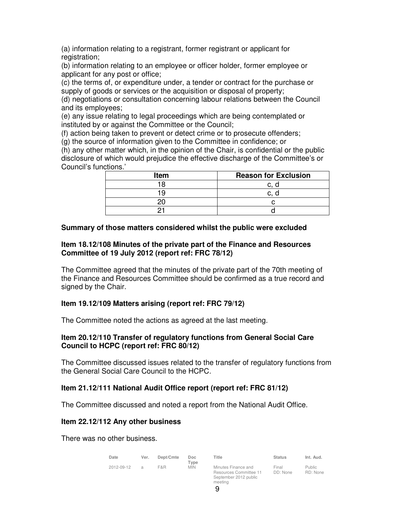(a) information relating to a registrant, former registrant or applicant for registration;

(b) information relating to an employee or officer holder, former employee or applicant for any post or office;

(c) the terms of, or expenditure under, a tender or contract for the purchase or supply of goods or services or the acquisition or disposal of property;

(d) negotiations or consultation concerning labour relations between the Council and its employees;

(e) any issue relating to legal proceedings which are being contemplated or instituted by or against the Committee or the Council;

(f) action being taken to prevent or detect crime or to prosecute offenders;

(g) the source of information given to the Committee in confidence; or

(h) any other matter which, in the opinion of the Chair, is confidential or the public disclosure of which would prejudice the effective discharge of the Committee's or Council's functions.'

| <b>Item</b> | <b>Reason for Exclusion</b> |
|-------------|-----------------------------|
| 1 R         |                             |
| 1 Q         | ັ                           |
|             |                             |
|             |                             |

# **Summary of those matters considered whilst the public were excluded**

### **Item 18.12/108 Minutes of the private part of the Finance and Resources Committee of 19 July 2012 (report ref: FRC 78/12)**

The Committee agreed that the minutes of the private part of the 70th meeting of the Finance and Resources Committee should be confirmed as a true record and signed by the Chair.

# **Item 19.12/109 Matters arising (report ref: FRC 79/12)**

The Committee noted the actions as agreed at the last meeting.

#### **Item 20.12/110 Transfer of regulatory functions from General Social Care Council to HCPC (report ref: FRC 80/12)**

The Committee discussed issues related to the transfer of regulatory functions from the General Social Care Council to the HCPC.

# **Item 21.12/111 National Audit Office report (report ref: FRC 81/12)**

The Committee discussed and noted a report from the National Audit Office.

# **Item 22.12/112 Any other business**

There was no other business.

| Date       | Ver. | Dept/Cmte | Doc<br>Type | Title                                                                             | <b>Status</b>     | Int. Aud.                 |
|------------|------|-----------|-------------|-----------------------------------------------------------------------------------|-------------------|---------------------------|
| 2012-09-12 | a    | F&R.      | <b>MIN</b>  | Minutes Finance and<br>Resources Committee 11<br>September 2012 public<br>meeting | Final<br>DD: None | <b>Public</b><br>RD: None |